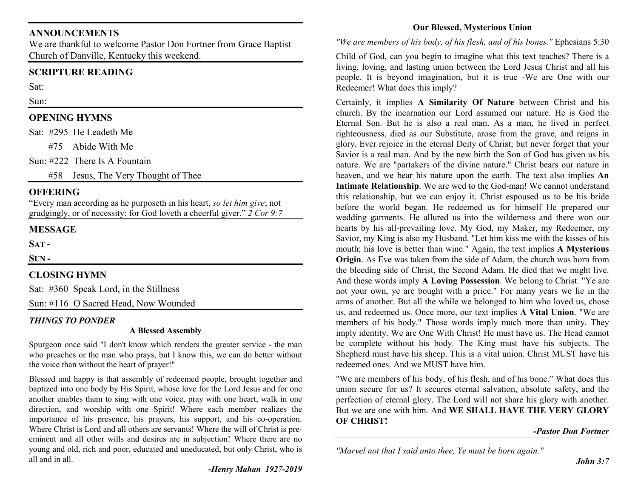## **ANNOUNCEMENTS**

 We are thankful to welcome Pastor Don Fortner from Grace Baptist Church of Danville, Kentucky this weekend.

# **SCRIPTURE READING**

Sat:

#### Sun:

## **OPENING HYMNS**

Sat: #295 He Leadeth Me

#75 Abide With Me

Sun: #222 There Is A Fountain

#58 Jesus, The Very Thought of Thee

#### **OFFERING**

 "Every man according as he purposeth in his heart, *so let him give*; not grudgingly, or of necessity: for God loveth a cheerful giver." *2 Cor 9:7*

## **MESSAGE**

**SAT -**

**SUN -**

## **CLOSING HYMN**

Sat: #360 Speak Lord, in the Stillness

Sun: #116 O Sacred Head, Now Wounded

## *THINGS TO PONDER*

#### **A Blessed Assembly**

Spurgeon once said "I don't know which renders the greater service - the man who preaches or the man who prays, but I know this, we can do better without the voice than without the heart of prayer!"

Blessed and happy is that assembly of redeemed people, brought together and baptized into one body by His Spirit, whose love for the Lord Jesus and for one another enables them to sing with one voice, pray with one heart, walk in one direction, and worship with one Spirit! Where each member realizes the importance of his presence, his prayers, his support, and his co-operation. Where Christ is Lord and all others are servants! Where the will of Christ is preeminent and all other wills and desires are in subjection! Where there are no young and old, rich and poor, educated and uneducated, but only Christ, who is all and in all.

## **Our Blessed, Mysterious Union**

#### *"We are members of his body, of his flesh, and of his bones."* Ephesians 5:30

Child of God, can you begin to imagine what this text teaches? There is a living, loving, and lasting union between the Lord Jesus Christ and all his people. It is beyond imagination, but it is true -We are One with our Redeemer! What does this imply?

Certainly, it implies **A Similarity Of Nature** between Christ and his church. By the incarnation our Lord assumed our nature. He is God the Eternal Son. But he is also a real man. As a man, he lived in perfect righteousness, died as our Substitute, arose from the grave, and reigns in glory. Ever rejoice in the eternal Deity of Christ; but never forget that your Savior is a real man. And by the new birth the Son of God has given us his nature. We are "partakers of the divine nature." Christ bears our nature in heaven, and we bear his nature upon the earth. The text also implies **An Intimate Relationship**. We are wed to the God-man! We cannot understand this relationship, but we can enjoy it. Christ espoused us to be his bride before the world began. He redeemed us for himself He prepared our wedding garments. He allured us into the wilderness and there won our hearts by his all-prevailing love. My God, my Maker, my Redeemer, my Savior, my King is also my Husband. "Let him kiss me with the kisses of his mouth; his love is better than wine." Again, the text implies **A Mysterious Origin**. As Eve was taken from the side of Adam, the church was born from the bleeding side of Christ, the Second Adam. He died that we might live. And these words imply **A Loving Possession**. We belong to Christ. "Ye are not your own, ye are bought with a price." For many years we lie in the arms of another. But all the while we belonged to him who loved us, chose us, and redeemed us. Once more, our text implies **A Vital Union**. "We are members of his body." Those words imply much more than unity. They imply identity. We are One With Christ! He must have us. The Head cannot be complete without his body. The King must have his subjects. The Shepherd must have his sheep. This is a vital union. Christ MUST have his redeemed ones. And we MUST have him.

"We are members of his body, of his flesh, and of his bone." What does this union secure for us? It secures eternal salvation, absolute safety, and the perfection of eternal glory. The Lord will not share his glory with another. But we are one with him. And **WE SHALL HAVE THE VERY GLORY OF CHRIST!** 

#### *-Pastor Don Fortner*

*"Marvel not that I said unto thee, Ye must be born again."*